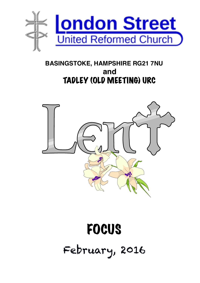

#### **BASINGSTOKE, HAMPSHIRE RG21 7NU and** TADLEY (OLD MEETING) URC



# FOCUS February, 2016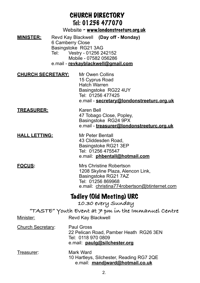#### CHURCH DIRECTORY Tel: 01256 477070 Website - [www.londonstreeturc.org.uk](http://www.londonstreeturc.org.uk) **MINISTER:** Revd Kay Blackwell **(Day off - Monday)** 6 Camberry Close Basingstoke RG21 3AG Tel: Vestry - 01256 242152 Mobile - 07582 056286 e.mail - **[revkayblackwell@gmail.com](mailto:revkayblackwell@gmail.com) CHURCH SECRETARY:** Mr Owen Collins 15 Cyprus Road Hatch Warren Basingstoke RG22 4UY Tel: 01256 477425 e.mail - **[secretary@londonstreeturc.org.uk](mailto:secretary@londonstreeturc.org.uk) TREASURER:** Karen Bell 47 Tobago Close, Popley, Basingstoke RG24 9PX e.mail - **[treasurer@londonstreeturc.org.uk](mailto:treasurer@londonstreeturc.org.uk) HALL LETTING:** Mr Peter Bentall 43 Cliddesden Road, Basingstoke RG21 3EP Tel: 01256 475547 e.mail: **[phbentall@hotmail.com](mailto:phbentall@hotmail.com) FOCUS:** Mrs Christine Robertson 1208 Skyline Plaza, Alencon Link, Basingstoke RG21 7AZ Tel: 01256 869968 e.mail: [christina774robertson@btinternet.com](mailto:christina774robertson@btinternet.com) Tadley (Old Meeting) URC  **10.30 every Sunday "TASTE" Youth Event at 7 pm in the Immanuel Centre** Minister: Revd Kay Blackwell Church Secretary: Paul Gross 22 Pelican Road, Pamber Heath RG26 3EN Tel: 0118 970 0809 e.mail: **[paulg@silchester.org](mailto:paulg@silchester.org)** Treasurer: Mark Ward 10 Hartleys, Silchester, Reading RG7 2QE e.mail: **[mandjward@hotmail.co.uk](mailto:mandjward@hotmail.co.uk)**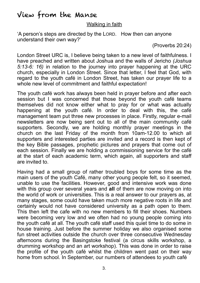### View from the Manse

#### Walking in faith

'A person's steps are directed by the LORD. How then can anyone understand their own way?'

(Proverbs 20:24)

London Street URC is, I believe being taken to a new level of faithfulness. I have preached and written about Joshua and the walls of Jericho *(Joshua 5:13-6: 16)* in relation to the journey into prayer happening at the URC church, especially in London Street. Since that letter, I feel that God, with regard to the youth café in London Street, has taken our prayer life to a whole new level of commitment and faithful expectation!

The youth café work has always been held in prayer before and after each session but I was concerned that those beyond the youth café teams themselves did not know either what to pray for or what was actually happening at the youth café. In order to deal with this, the café management team put three new processes in place. Firstly, regular e-mail newsletters are now being sent out to all of the main community café supporters. Secondly, we are holding monthly prayer meetings in the church on the last Friday of the month from 10am-12.00 to which all supporters and interested parties are invited and a record is then kept of the key Bible passages, prophetic pictures and prayers that come out of each session. Finally we are holding a commissioning service for the café at the start of each academic term, which again, all supporters and staff are invited to.

Having had a small group of rather troubled boys for some time as the main users of the youth Café, many other young people felt, so it seemed, unable to use the facilities. However, good and intensive work was done with this group over several years and **all** of them are now moving on into the world of work or universities. This is a real answer to our prayers as, at many stages, some could have taken much more negative roots in life and certainly would not have considered university as a path open to them. This then left the cafe with no new members to fill their shoes. Numbers were becoming very low and we often had no young people coming into the youth café at all. The youth café staff used this quiet time to do some in house training. Just before the summer holiday we also organised some fun street activities outside the church over three consecutive Wednesday afternoons during the Basingstoke festival (a circus skills workshop, a drumming workshop and an art workshop). This was done in order to raise the profile of the youth café whilst the children went past on their way home from school. In September, our numbers of attendees to youth café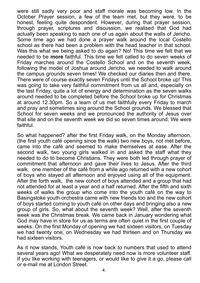were still sadly very poor and staff morale was becoming low. In the October Prayer session, a few of the team met, but they were, to be honest, feeling quite despondent. However, during that prayer session, through prayer, scriptures and discussion, we realised that God had actually been speaking to each one of us again about the walls of Jericho. Some time ago we had done a prayer walk around the local Costello school as there had been a problem with the head teacher in that school. Was this what we being asked to do again? No! This time we felt that we needed to be **more** faithful. This time we felt called to do seven weeks of Friday marches around the Costello School and on the seventh week, following the model of Joshua around Jericho, we needed to walk around the campus grounds seven times! We checked our diaries then and there. There were of course exactly seven Fridays until the School broke up! This was going to take very faithful commitment from us all and, especially on the last Friday, quite a lot of energy and determination as the seven walks around needed to be completed before the School broke up for Christmas at around 12.30pm. So a team of us met faithfully every Friday to march and pray and sometimes sing around the School grounds. We blessed that School for seven weeks and we pronounced the authority of Jesus over that site and on the seventh week we did so seven times around. We were faithful.

So what happened? after the first Friday walk, on the Monday afternoon, (the first youth café opening since the walk) two new boys, not met before, came into the café and seemed to make themselves at ease. After the second walk, two young girls walked in and asked the staff what they needed to do to become Christians. They were both led through prayer of commitment that afternoon and gave their lives to Jesus. After the third walk, one member of the café from a while ago returned with a new cohort of boys who stayed all afternoon and enjoyed using all of the equipment. After the forth walk, the new cohort of boys attended and a group that had not attended for at least a year and a half returned. After the fifth and sixth weeks of walks the group who come into the youth café on the way to Basingstoke youth orchestra came with new friends too and the new cohort of boys started coming to youth café on other days and bringing also a new group of girls. So, what about the seventh week? Well, after the seventh week was the Christmas break. We came back in January wondering what God may have in store for us as terms are often quiet in the first couple of weeks. On the first Monday of opening we had sixteen visitors, on Tuesday we had twenty one, on Wednesday we had thirteen and on Thursday we had sixteen visitors.

As it now stands, Youth café is now back to numbers that used to attend several years ago! What we desperately need now is more volunteer staff. If you like working with teenagers, or would like to give it a go, please call or e-mail me at London Street.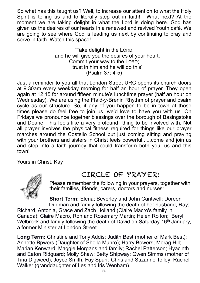So what has this taught us? Well, to increase our attention to what the Holy Spirit is telling us and to literally step out in faith! What next? At the moment we are taking delight in what the Lord is doing here. God has given us the desires of our hearts in a renewed and revived Youth café. We are going to see where God is leading us next by continuing to pray and serve in faith. Watch this space!

> 'Take delight in the LORD, and he will give you the desires of your heart. Commit your way to the LORD; trust in him and he will do this' (Psalm 37: 4-5)

Just a reminder to you all that London Street URC opens its church doors at 9.30am every weekday morning for half an hour of prayer. They open again at 12.15 for around fifteen minute's lunchtime prayer (half an hour on Wednesday). We are using the Ffald-y-Brenin Rhythm of prayer and psalm cycle as our structure. So, if any of you happen to be in town at those times please do feel free to join us, we'd love to have you with us. On Fridays we pronounce together blessings over the borough of Basingstoke and Deane. This feels like a very profound thing to be involved with. Not all prayer involves the physical fitness required for things like our prayer marches around the Costello School but just coming sitting and praying with your brothers and sisters in Christ feels powerful......come and join us and step into a faith journey that could transform both you, us and this town!

Yours in Christ, Kay



#### CIRCLE OF PRAYER:

Please remember the following in your prayers, together with their families, friends, carers, doctors and nurses:

**Short Term:** Elena; Beverley and John Cantwell; Doreen Dudman and family following the death of her husband, Ray;

Richard, Antonia, Grace and Zach Holland (Claire Macro's family in Canada); Claire Macro, Ron and Rosemary Martin; Helen Rolton; Beryl Welbrock and family following the death of David on Saturday 16<sup>th</sup> January, a former Minister at London Street.

**Long Term:** Christine and Tony Addis; Judith Best (mother of Mark Best); Annette Bpwers (Daughter of Sheila Munro); Harry Bowers; Morag Hill; Marian Kenward; Maggie Morgans and family; Rachel Patterson; Hyacinth and Eaton Ridguard; Molly Shaw; Betty Shipway; Gwen Simms (mother of Tina Digweed); Joyce Smith; Fay Spurr; Chris and Suzanne Tolley; Rachel Walker (granddaughter of Les and Iris Wenham).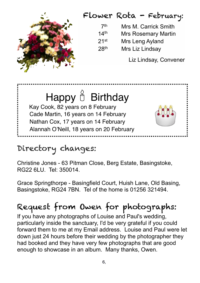## Flower Rota - February:



Liz Lindsay, Convener

## Happy  $\stackrel{\circ}{\mathbb{D}}$  Birthday Kay Cook, 82 years on 8 February Cade Martin, 16 years on 14 February Nathan Cox, 17 years on 14 February Alannah O'Neill, 18 years on 20 February



## Directory changes:

Christine Jones - 63 Pitman Close, Berg Estate, Basingstoke, RG22 6LU. Tel: 350014.

Grace Springthorpe - Basingfield Court, Huish Lane, Old Basing, Basingstoke, RG24 7BN. Tel of the home is 01256 321494.

## Request from Owen for photographs:

If you have any photographs of Louise and Paul's wedding, particularly inside the sanctuary, I'd be very grateful if you could forward them to me at my Email address. Louise and Paul were let down just 24 hours before their wedding by the photographer they had booked and they have very few photographs that are good enough to showcase in an album. Many thanks, Owen.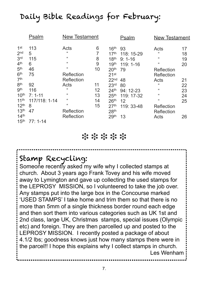## Daily Bible Readings for February:

|                  | Psalm         | <b>New Testament</b>       |    |                  | Psalm      | <b>New Testament</b>       |    |
|------------------|---------------|----------------------------|----|------------------|------------|----------------------------|----|
| 1 <sup>st</sup>  | 113           | Acts                       | 6  | 16 <sup>th</sup> | 93         | Acts                       | 17 |
| 2 <sub>nd</sub>  | 5             | $\mathfrak{c}$             | 7  | 17 <sup>th</sup> | 118: 15-29 | $\mathfrak{c}\mathfrak{c}$ | 18 |
| 3 <sup>rd</sup>  | 115           | $\mathfrak{c}\mathfrak{c}$ | 8  | 18 <sup>th</sup> | $9:1 - 16$ | 66                         | 19 |
| 4 <sup>th</sup>  | 6             | 66                         | 9  | 19 <sup>th</sup> | $119:1-16$ | 66                         | 20 |
| 5 <sup>th</sup>  | 46            | $\mathfrak{c}\mathfrak{c}$ | 10 | 20 <sup>th</sup> | 79         | Reflection                 |    |
| 6 <sup>th</sup>  | 75            | Reflection                 |    | 21 <sup>st</sup> |            | Reflection                 |    |
| 7 <sup>th</sup>  |               | Reflection                 |    | 22 <sub>nd</sub> | 48         | Acts                       | 21 |
| 8 <sup>th</sup>  | 92            | Acts                       | 11 | 23 <sup>rd</sup> | 80         | 66                         | 22 |
| gth              | 116           | 66                         | 12 | 24 <sup>th</sup> | $94:12-23$ | 66                         | 23 |
| 10 <sup>th</sup> | $7:1 - 11$    | $\mathfrak{c}$             | 13 | 25 <sup>th</sup> | 119: 17-32 | 66                         | 24 |
| 11 <sup>th</sup> | 117/118: 1-14 | 66                         | 14 | 26 <sup>th</sup> | 12         | 66                         | 25 |
| 12 <sup>th</sup> | 8             | $\epsilon$                 | 15 | 27 <sup>th</sup> | 119: 33-48 | Reflection                 |    |
| 13 <sup>th</sup> | 47            | Reflection                 |    | 28 <sup>th</sup> |            | Reflection                 |    |
| 14 <sup>th</sup> |               | Reflection                 |    | 29 <sup>th</sup> | 13         | Acts                       | 26 |
| 15 <sup>th</sup> | $77:1 - 14$   |                            |    |                  |            |                            |    |

#### ❉ ❉ ❉ ❉ ❉

## Stamp Recycling:

Someone recently asked my wife why I collected stamps at church. About 3 years ago Frank Tovey and his wife moved away to Lymington and gave up collecting the used stamps for the LEPROSY MISSION, so I volunteered to take the job over. Any stamps put into the large box in the Concourse marked 'USED STAMPS' I take home and trim them so that there is no more than 5mm of a single thickness border round each edge and then sort them into various categories such as UK 1st and 2nd class, large UK, Christmas stamps, special issues (Olympic etc) and foreign. They are then parcelled up and posted to the LEPROSY MISSION. I recently posted a package of about 4.1/2 lbs; goodness knows just how many stamps there were in the parcel!! I hope this explains why I collect stamps in church. Les Wenham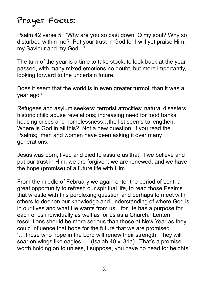## Prayer Focus:

Psalm 42 verse 5: 'Why are you so cast down, O my soul? Why so disturbed within me? Put your trust in God for I will yet praise Him, my Saviour and my God…'

The turn of the year is a time to take stock, to look back at the year passed, with many mixed emotions no doubt, but more importantly, looking forward to the uncertain future.

Does it seem that the world is in even greater turmoil than it was a year ago?

Refugees and asylum seekers; terrorist atrocities; natural disasters; historic child abuse revelations; increasing need for food banks; housing crises and homelessness…the list seems to lengthen. Where is God in all this? Not a new question, if you read the Psalms; men and women have been asking it over many generations.

Jesus was born, lived and died to assure us that, if we believe and put our trust in Him, we are forgiven; we are renewed, and we have the hope (promise) of a future life with Him.

From the middle of February we again enter the period of Lent, a great opportunity to refresh our spiritual life, to read those Psalms that wrestle with this perplexing question and perhaps to meet with others to deepen our knowledge and understanding of where God is in our lives and what He wants from us…for He has a purpose for each of us individually as well as for us as a Church. Lenten resolutions should be more serious than those at New Year as they could influence that hope for the future that we are promised. '….those who hope in the Lord will renew their strength. They will soar on wings like eagles….' (Isaiah 40 v. 31a). That's a promise worth holding on to unless, I suppose, you have no head for heights!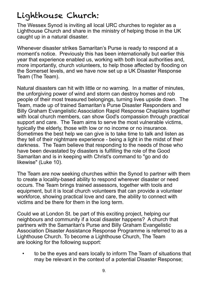## Lighthouse Church:

The Wessex Synod is inviting all local URC churches to register as a Lighthouse Church and share in the ministry of helping those in the UK caught up in a natural disaster.

Whenever disaster strikes Samaritan's Purse is ready to respond at a moment's notice. Previously this has been internationally but earlier this year that experience enabled us, working with both local authorities and, more importantly, church volunteers, to help those affected by flooding on the Somerset levels, and we have now set up a UK Disaster Response Team (The Team).

Natural disasters can hit with little or no warning. In a matter of minutes, the unforgiving power of wind and storm can destroy homes and rob people of their most treasured belongings, turning lives upside down. The Team, made up of trained Samaritan's Purse Disaster Responders and Billy Graham Evangelistic Association Rapid Response Chaplains together with local church members, can show God's compassion through practical support and care. The Team aims to serve the most vulnerable victims. typically the elderly, those with low or no income or no insurance. Sometimes the best help we can give is to take time to talk and listen as they tell of their nightmare experience - being a light in the midst of their darkness. The Team believe that responding to the needs of those who have been devastated by disasters is fulfilling the role of the Good Samaritan and is in keeping with Christ's command to "go and do likewise" (Luke 10).

The Team are now seeking churches within the Synod to partner with them to create a locality-based ability to respond wherever disaster or need occurs. The Team brings trained assessors, together with tools and equipment, but it is local church volunteers that can provide a volunteer workforce, showing practical love and care, the ability to connect with victims and be there for them in the long term.

Could we at London St. be part of this exciting project, helping our neighbours and community if a local disaster happens? A church that partners with the Samaritan's Purse and Billy Graham Evangelistic Association Disaster Assistance Response Programme is referred to as a Lighthouse Church. To become a Lighthouse Church, The Team are looking for the following support:

 • to be the eyes and ears locally to inform The Team of situations that may be relevant in the context of a potential Disaster Response;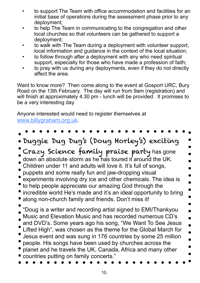- to support The Team with office accommodation and facilities for an initial base of operations during the assessment phase prior to any deployment;
- to help The Team in communicating to the congregation and other local churches so that volunteers can be gathered to support a deployment;
- to walk with The Team during a deployment with volunteer support, local information and guidance in the context of the local situation;
- to follow through after a deployment with any who need spiritual support, especially for those who have made a profession of faith;
- to pray with us during any deployments, even if they do not directly affect the area.

Want to know more? Then come along to the event at Gosport URC, Bury Road on the 13th February. The day will run from 9am (registration) and will finish at approximately 4.30 pm - lunch will be provided. It promises to be a very interesting day.

Anyone interested would need to register themselves at [www.billygraham.org.uk.](http://www.billygraham.org.uk/)

Duggie Dug Dug's (Doug Horley's) exciting Crazy Science family praise party has gone down an absolute storm as he has toured it around the UK. Children under 11 and adults will love it. It's full of songs, puppets and some really fun and jaw-dropping visual experiments involving dry ice and other chemicals. The idea is to help people appreciate our amazing God through the incredible world He's made and it's an ideal opportunity to bring along non-church family and friends. Don't miss it! "Doug is a writer and recording artist signed to EMI/Thankyou Music and Elevation Music and has recorded numerous CD's and DVD's. Some years ago his song, "We Want To See Jesus Lifted High", was chosen as the theme for the Global March for Jesus event and was sung in 176 countries by some 25 million people. His songs have been used by churches across the planet and he travels the UK, Canada, Africa and many other countries putting on family concerts."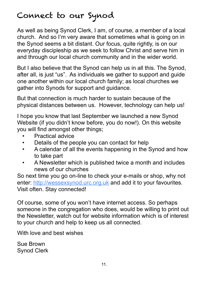## Connect to our Synod

As well as being Synod Clerk, I am, of course, a member of a local church. And so I'm very aware that sometimes what is going on in the Synod seems a bit distant. Our focus, quite rightly, is on our everyday discipleship as we seek to follow Christ and serve him in and through our local church community and in the wider world.

But I also believe that the Synod can help us in all this. The Synod, after all, is just "us". As individuals we gather to support and guide one another within our local church family; as local churches we gather into Synods for support and guidance.

But that connection is much harder to sustain because of the physical distances between us. However, technology can help us!

I hope you know that last September we launched a new Synod Website (if you didn't know before, you do now!). On this website you will find amongst other things;

- Practical advice
- Details of the people you can contact for help
- A calendar of all the events happening in the Synod and how to take part
- A Newsletter which is published twice a month and includes news of our churches

So next time you go on-line to check your e-mails or shop, why not enter: [http://wessexsynod.urc.org.uk](http://wessexsynod.urc.org.uk/) and add it to your favourites. Visit often. Stay connected!

Of course, some of you won't have internet access. So perhaps someone in the congregation who does, would be willing to print out the Newsletter, watch out for website information which is of interest to your church and help to keep us all connected.

With love and best wishes

Sue Brown Synod Clerk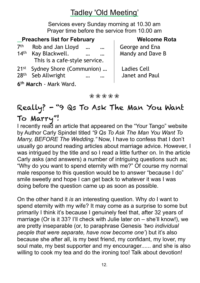### Tadley 'Old Meeting'

Services every Sunday morning at 10.30 am Prayer time before the service from 10.00 am

#### **Preachers list for February Melcome Rota**

| 7 <sup>th</sup><br>14 <sup>th</sup>    | Rob and Jan Lloyd<br>$\dddot{\bullet}$<br>$\cdots$<br>Kay Blackwell.<br>$\cdots$<br>$\ddotsc$<br>This is a cafe-style service. | George and Ena<br>Mandy and Dave B   |
|----------------------------------------|--------------------------------------------------------------------------------------------------------------------------------|--------------------------------------|
| $21$ <sup>st</sup><br>28 <sup>th</sup> | Sydney Shore (Communion)<br>Seb Allwright<br>$\cdots$<br>$\cdots$                                                              | <b>Ladies Cell</b><br>Janet and Paul |

**6th March** - Mark Ward.

❀ ❀ ❀ ❀ ❀

## Really? - "9 Qs To Ask The Man You Want To Marry"!

I recently read an article that appeared on the "Your Tango" website by Author [Carly Spindel](http://www.yourtango.com/users/carly-spindel) titled *"9 Qs To Ask The Man You Want To Marry, BEFORE The Wedding."* Now, I have to confess that I don't usually go around reading articles about marriage advice. However, I was intrigued by the title and so I read a little further on. In the article Carly asks (and answers) a number of intriguing questions such as; "Why do you want to spend eternity with me?" Of course my normal male response to this question would be to answer "because I do" smile sweetly and hope I can get back to whatever it was I was doing before the question came up as soon as possible.

On the other hand it *is* an interesting question. Why *do* I want to spend eternity with my wife? It may come as a surprise to some but primarily I think it's because I genuinely feel that, after 32 years of marriage (Or is it 33? I'll check with Julie later on – she'll know!), we are pretty inseparable (or, to paraphrase Genesis *'two individual people that were separate, have now become one'*) but it's also because she after all, is my best friend, my confidant, my lover, my soul mate, my best supporter and my encourager...... and she is also willing to cook my tea and do the ironing too! Talk about devotion!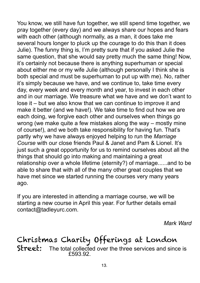You know, we still have fun together, we still spend time together, we pray together (every day) and we always share our hopes and fears with each other (although normally, as a man, it does take me several hours longer to pluck up the courage to do this than it does Julie). The funny thing is, I'm pretty sure that if you asked Julie the same question, that she would say pretty much the same thing! Now, it's certainly not because there is anything superhuman or special about either me or my wife Julie (although personally I think she is both special and must be superhuman to put up with me). No, rather it's simply because we have, and we continue to, take time every day, every week and every month and year, to invest in each other and in our marriage. We treasure what we have and we don't want to lose it – but we also know that we can continue to improve it and make it better (and we have!). We take time to find out how we are each doing, we forgive each other and ourselves when things go wrong (we make quite a few mistakes along the way – mostly mine of course!), and we both take responsibility for having fun. That's partly why we have always enjoyed helping to run the *Marriage Course* with our close friends Paul & Janet and Pam & Lionel. It's just such a great opportunity for us to remind ourselves about all the things that should go into making and maintaining a great relationship over a whole lifetime (eternity?) of marriage......and to be able to share that with all of the many other great couples that we have met since we started running the courses very many years ago.

If you are interested in attending a marriage course, we will be starting a new course in April this year. For further details email [contact@tadleyurc.com.](mailto:contact@tadleyurc.com)

*Mark Ward*

#### Christmas Charity Offerings at London Street: The total collected over the three services and since is £593.92.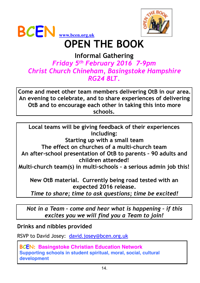



# **OPEN THE BOOK**

#### **Informal Gathering**  *Friday 5th February 2016 7-9pm Christ Church Chineham, Basingstoke Hampshire RG24 8LT***.**

**Come and meet other team members delivering OtB in our area. An evening to celebrate, and to share experiences of delivering OtB and to encourage each other in taking this into more schools.** 

**Local teams will be giving feedback of their experiences including: Starting up with a small team The effect on churches of a multi-church team An after-school presentation of OtB to parents – 90 adults and children attended! Multi-church team(s) in multi-schools – a serious admin job this!** 

**New OtB material. Currently being road tested with an expected 2016 release.** 

*Time to share; time to ask questions; time be excited!* 

*Not in a Team – come and hear what is happening – if this excites you we will find you a Team to join!* 

**Drinks and nibbles provided** 

RSVP to David Josey: [david.josey@bcen.org.uk](mailto:david.josey@bcen.org.uk)

**BCEN: Basingstoke Christian Education Network Supporting schools in student spiritual, moral, social, cultural development**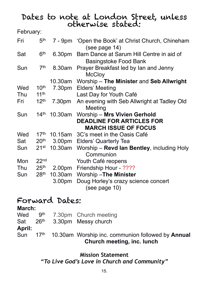# Dates to note at London Street, unless otherwise stated:

| February: |
|-----------|
|-----------|

| Fri | 5 <sup>th</sup>  |                    | 7 - 9pm 'Open the Book' at Christ Church, Chineham<br>(see page 14)              |
|-----|------------------|--------------------|----------------------------------------------------------------------------------|
| Sat | 6 <sup>th</sup>  |                    | 6.30pm Barn Dance at Sarum Hill Centre in aid of<br><b>Basingstoke Food Bank</b> |
| Sun | 7 <sup>th</sup>  | 8.30am             | Prayer Breakfast led by Ian and Jenny<br><b>McCloy</b>                           |
|     |                  |                    | 10.30am Worship - The Minister and Seb Allwright                                 |
| Wed | 10 <sup>th</sup> | 7.30pm             | <b>Elders' Meeting</b>                                                           |
| Thu | 11 <sup>th</sup> |                    | Last Day for Youth Café                                                          |
| Fri | 12 <sup>th</sup> | 7.30pm             | An evening with Seb Allwright at Tadley Old<br>Meeting                           |
| Sun | 14 <sup>th</sup> | 10.30am            | Worship - Mrs Vivien Gerhold                                                     |
|     |                  |                    | <b>DEADLINE FOR ARTICLES FOR</b>                                                 |
|     |                  |                    | <b>MARCH ISSUE OF FOCUS</b>                                                      |
| Wed | 17 <sup>th</sup> |                    | 10.15am 3C's meet in the Oasis Café                                              |
| Sat | 20 <sup>th</sup> |                    | 3.00pm Elders' Quarterly Tea                                                     |
| Sun | 21 <sup>st</sup> | 10.30am            | Worship - Revd Ian Bentley, including Holy<br>Communion                          |
| Mon | 22 <sup>nd</sup> |                    | Youth Café reopens                                                               |
| Thu | 25 <sup>th</sup> | 2.00 <sub>pm</sub> | Friendship Hour - ????                                                           |
| Sun | 28 <sup>th</sup> |                    | 10.30am Worship-The Minister                                                     |
|     |                  | 3.00 <sub>pm</sub> | Doug Horley's crazy science concert<br>(see page 10)                             |

## Forward Dates:

#### **March:**  Wed 9<sup>th</sup> 7.30pm Church meeting Sat 26<sup>th</sup> 3.30pm Messy church **April:**  Sun 17<sup>th</sup> 10.30am Worship inc. communion followed by **Annual Church meeting, inc. lunch**

**Mission Statement** *"To Live God's Love in Church and Community"*